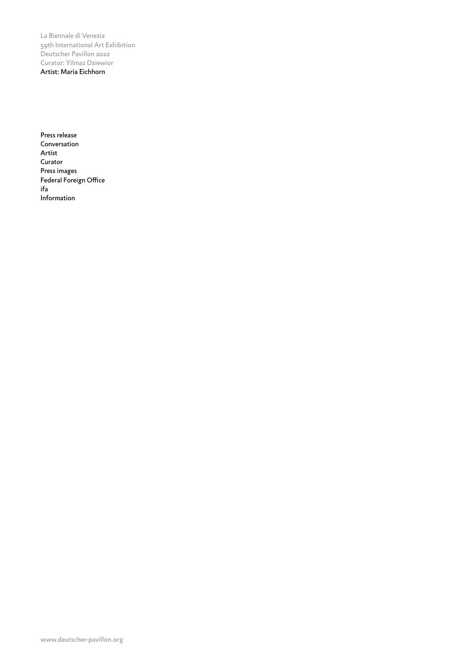Press release Conversation Artist Curator Press images Federal Foreign Office ifa Information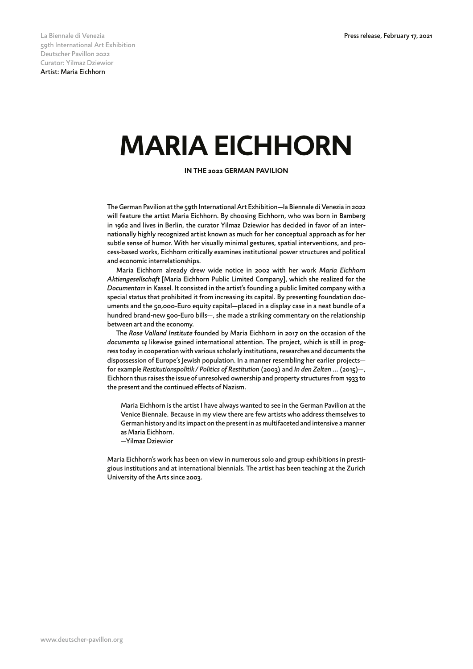## **MARIA EICHHORN**

**IN THE 2022 GERMAN PAVILION**

The German Pavilion at the 59th International Art Exhibition—la Biennale di Venezia in 2022 will feature the artist Maria Eichhorn. By choosing Eichhorn, who was born in Bamberg in 1962 and lives in Berlin, the curator Yilmaz Dziewior has decided in favor of an internationally highly recognized artist known as much for her conceptual approach as for her subtle sense of humor. With her visually minimal gestures, spatial interventions, and process-based works, Eichhorn critically examines institutional power structures and political and economic interrelationships.

Maria Eichhorn already drew wide notice in 2002 with her work *Maria Eichhorn Aktiengesellschaft* [Maria Eichhorn Public Limited Company], which she realized for the *Documenta11* in Kassel. It consisted in the artist's founding a public limited company with a special status that prohibited it from increasing its capital. By presenting foundation documents and the 50,000-Euro equity capital—placed in a display case in a neat bundle of a hundred brand-new 500-Euro bills—, she made a striking commentary on the relationship between art and the economy.

The *Rose Valland Institute* founded by Maria Eichhorn in 2017 on the occasion of the *documenta 14* likewise gained international attention. The project, which is still in progress today in cooperation with various scholarly institutions, researches and documents the dispossession of Europe's Jewish population. In a manner resembling her earlier projects for example *Restitutionspolitik / Politics of Restitution* (2003) and *In den Zelten ...* (2015)—, Eichhorn thus raises the issue of unresolved ownership and property structures from 1933 to the present and the continued effects of Nazism.

Maria Eichhorn is the artist I have always wanted to see in the German Pavilion at the Venice Biennale. Because in my view there are few artists who address themselves to German history and its impact on the present in as multifaceted and intensive a manner as Maria Eichhorn.

—Yilmaz Dziewior

Maria Eichhorn's work has been on view in numerous solo and group exhibitions in prestigious institutions and at international biennials. The artist has been teaching at the Zurich University of the Arts since 2003.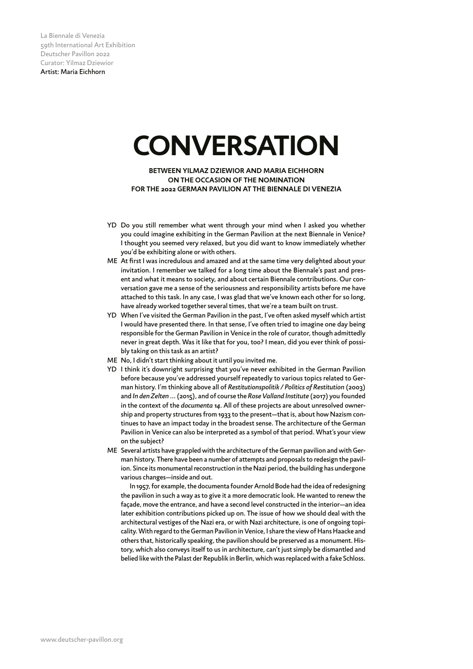## **CONVERSATION**

**BETWEEN YILMAZ DZIEWIOR AND MARIA EICHHORN ON THE OCCASION OF THE NOMINATION FOR THE 2022 GERMAN PAVILION AT THE BIENNALE DI VENEZIA**

- YD Do you still remember what went through your mind when I asked you whether you could imagine exhibiting in the German Pavilion at the next Biennale in Venice? I thought you seemed very relaxed, but you did want to know immediately whether you'd be exhibiting alone or with others.
- ME At first I was incredulous and amazed and at the same time very delighted about your invitation. I remember we talked for a long time about the Biennale's past and present and what it means to society, and about certain Biennale contributions. Our conversation gave me a sense of the seriousness and responsibility artists before me have attached to this task. In any case, I was glad that we've known each other for so long, have already worked together several times, that we're a team built on trust.
- YD When I've visited the German Pavilion in the past, I've often asked myself which artist I would have presented there. In that sense, I've often tried to imagine one day being responsible for the German Pavilion in Venice in the role of curator, though admittedly never in great depth. Was it like that for you, too? I mean, did you ever think of possibly taking on this task as an artist?
- ME No, I didn't start thinking about it until you invited me.
- YD I think it's downright surprising that you've never exhibited in the German Pavilion before because you've addressed yourself repeatedly to various topics related to German history. I'm thinking above all of *Restitutionspolitik / Politics of Restitution* (2003) and *In den Zelten ...* (2015), and of course the *Rose Valland Institute* (2017) you founded in the context of the *documenta 14*. All of these projects are about unresolved ownership and property structures from 1933 to the present—that is, about how Nazism continues to have an impact today in the broadest sense. The architecture of the German Pavilion in Venice can also be interpreted as a symbol of that period. What's your view on the subject?
- ME Several artists have grappled with the architecture of the German pavilion and with German history. There have been a number of attempts and proposals to redesign the pavilion. Since its monumental reconstruction in the Nazi period, the building has undergone various changes—inside and out.

 In 1957, for example, the documenta founder Arnold Bode had the idea of redesigning the pavilion in such a way as to give it a more democratic look. He wanted to renew the façade, move the entrance, and have a second level constructed in the interior—an idea later exhibition contributions picked up on. The issue of how we should deal with the architectural vestiges of the Nazi era, or with Nazi architecture, is one of ongoing topicality. With regard to the German Pavilion in Venice, I share the view of Hans Haacke and others that, historically speaking, the pavilion should be preserved as a monument. History, which also conveys itself to us in architecture, can't just simply be dismantled and belied like with the Palast der Republik in Berlin, which was replaced with a fake Schloss.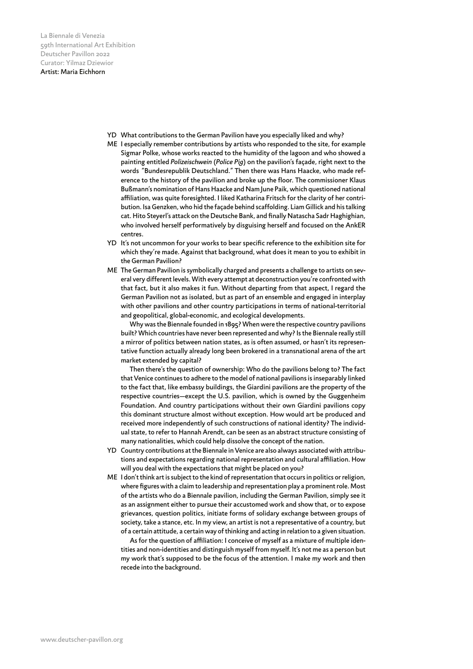- YD What contributions to the German Pavilion have you especially liked and why?
- ME I especially remember contributions by artists who responded to the site, for example Sigmar Polke, whose works reacted to the humidity of the lagoon and who showed a painting entitled *Polizeischwein* (*Police Pig*) on the pavilion's façade, right next to the words "Bundesrepublik Deutschland." Then there was Hans Haacke, who made reference to the history of the pavilion and broke up the floor. The commissioner Klaus Bußmann's nomination of Hans Haacke and Nam June Paik, which questioned national affiliation, was quite foresighted. I liked Katharina Fritsch for the clarity of her contribution. Isa Genzken, who hid the façade behind scaffolding. Liam Gillick and his talking cat. Hito Steyerl's attack on the Deutsche Bank, and finally Natascha Sadr Haghighian, who involved herself performatively by disguising herself and focused on the AnkER centres.
- YD It's not uncommon for your works to bear specific reference to the exhibition site for which they're made. Against that background, what does it mean to you to exhibit in the German Pavilion?
- ME The German Pavilion is symbolically charged and presents a challenge to artists on several very different levels. With every attempt at deconstruction you're confronted with that fact, but it also makes it fun. Without departing from that aspect, I regard the German Pavilion not as isolated, but as part of an ensemble and engaged in interplay with other pavilions and other country participations in terms of national-territorial and geopolitical, global-economic, and ecological developments.

 Why was the Biennale founded in 1895? When were the respective country pavilions built? Which countries have never been represented and why? Is the Biennale really still a mirror of politics between nation states, as is often assumed, or hasn't its representative function actually already long been brokered in a transnational arena of the art market extended by capital?

 Then there's the question of ownership: Who do the pavilions belong to? The fact that Venice continues to adhere to the model of national pavilions is inseparably linked to the fact that, like embassy buildings, the Giardini pavilions are the property of the respective countries—except the U.S. pavilion, which is owned by the Guggenheim Foundation. And country participations without their own Giardini pavilions copy this dominant structure almost without exception. How would art be produced and received more independently of such constructions of national identity? The individual state, to refer to Hannah Arendt, can be seen as an abstract structure consisting of many nationalities, which could help dissolve the concept of the nation.

- YD Country contributions at the Biennale in Venice are also always associated with attributions and expectations regarding national representation and cultural affiliation. How will you deal with the expectations that might be placed on you?
- ME I don't think art is subject to the kind of representation that occurs in politics or religion, where figures with a claim to leadership and representation play a prominent role. Most of the artists who do a Biennale pavilion, including the German Pavilion, simply see it as an assignment either to pursue their accustomed work and show that, or to expose grievances, question politics, initiate forms of solidary exchange between groups of society, take a stance, etc. In my view, an artist is not a representative of a country, but of a certain attitude, a certain way of thinking and acting in relation to a given situation.

As for the question of affiliation: I conceive of myself as a mixture of multiple identities and non-identities and distinguish myself from myself. It's not me as a person but my work that's supposed to be the focus of the attention. I make my work and then recede into the background.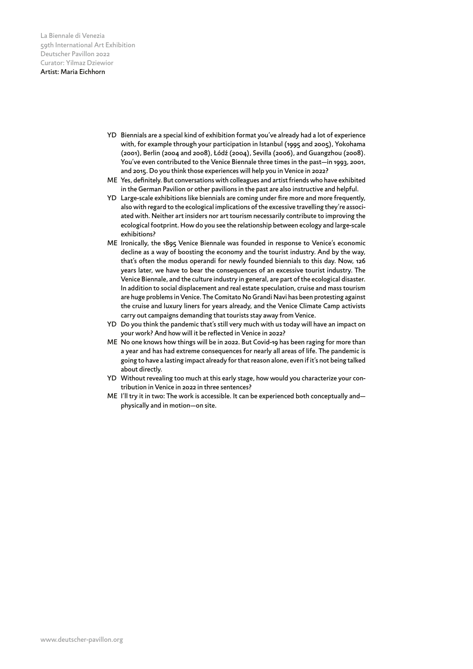- YD Biennials are a special kind of exhibition format you've already had a lot of experience with, for example through your participation in Istanbul (1995 and 2005), Yokohama (2001), Berlin (2004 and 2008), Łódź (2004), Sevilla (2006), and Guangzhou (2008). You've even contributed to the Venice Biennale three times in the past—in 1993, 2001, and 2015. Do you think those experiences will help you in Venice in 2022?
- ME Yes, definitely. But conversations with colleagues and artist friends who have exhibited in the German Pavilion or other pavilions in the past are also instructive and helpful.
- YD Large-scale exhibitions like biennials are coming under fire more and more frequently, also with regard to the ecological implications of the excessive travelling they're associated with. Neither art insiders nor art tourism necessarily contribute to improving the ecological footprint. How do you see the relationship between ecology and large-scale exhibitions?
- ME Ironically, the 1895 Venice Biennale was founded in response to Venice's economic decline as a way of boosting the economy and the tourist industry. And by the way, that's often the modus operandi for newly founded biennials to this day. Now, 126 years later, we have to bear the consequences of an excessive tourist industry. The Venice Biennale, and the culture industry in general, are part of the ecological disaster. In addition to social displacement and real estate speculation, cruise and mass tourism are huge problems in Venice. The Comitato No Grandi Navi has been protesting against the cruise and luxury liners for years already, and the Venice Climate Camp activists carry out campaigns demanding that tourists stay away from Venice.
- YD Do you think the pandemic that's still very much with us today will have an impact on your work? And how will it be reflected in Venice in 2022?
- ME No one knows how things will be in 2022. But Covid-19 has been raging for more than a year and has had extreme consequences for nearly all areas of life. The pandemic is going to have a lasting impact already for that reason alone, even if it's not being talked about directly.
- YD Without revealing too much at this early stage, how would you characterize your contribution in Venice in 2022 in three sentences?
- ME I'll try it in two: The work is accessible. It can be experienced both conceptually andphysically and in motion—on site.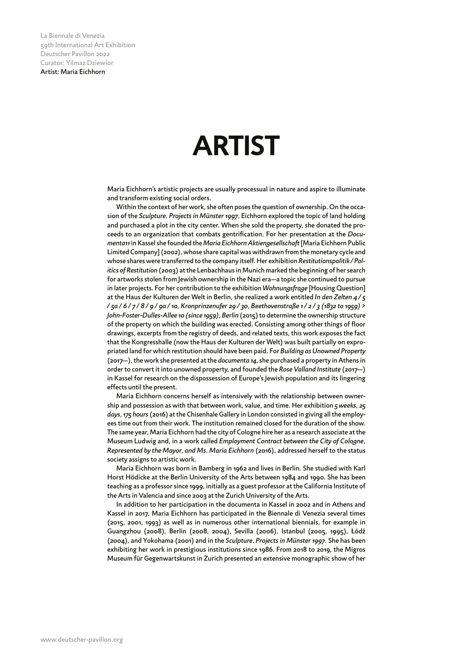## **ARTIST**

Maria Eichhorn's artistic projects are usually processual in nature and aspire to illuminate and transform existing social orders.

Within the context of her work, she often poses the question of ownership. On the occasion of the *Sculpture. Projects in Münster 1997*, Eichhorn explored the topic of land holding and purchased a plot in the city center. When she sold the property, she donated the proceeds to an organization that combats gentrification. For her presentation at the *Documenta11* in Kassel she founded the *Maria EichhornAktiengesellschaft* [Maria Eichhorn Public Limited Company](2002), whose share capital was withdrawn from the monetary cycle and whose shares were transferred to the company itself. Her exhibition *Restitutionspolitik / Politics of Restitution* (2003) at the Lenbachhaus in Munich marked the beginning of her search for artworks stolen from Jewish ownership in the Nazi era—a topic she continued to pursue in later projects. For her contribution to the exhibition *Wohnungsfrage* [Housing Question] at the Haus der Kulturen der Welt in Berlin, she realized a work entitled *In den Zelten 4 / 5 / 5a / 6 / 7 / 8 / 9 / 9a / 10, Kronprinzenufer 29 / 30, Beethovenstraße 1 / 2 / 3 (1832 to 1959) > John-Foster-Dulles-Allee 10 (since 1959), Berlin* (2015) to determine the ownership structure of the property on which the building was erected. Consisting among other things of floor drawings, excerpts from the registry of deeds, and related texts, this work exposes the fact that the Kongresshalle (now the Haus der Kulturen der Welt) was built partially on expropriated land for which restitution should have been paid. For *Building as Unowned Property* (2017—), the work she presented at the *documenta 14*, she purchased a property in Athens in order to convert it into unowned property, and founded the *Rose Valland Institute* (2017—) in Kassel for research on the dispossession of Europe's Jewish population and its lingering effects until the present.

Maria Eichhorn concerns herself as intensively with the relationship between ownership and possession as with that between work, value, and time. Her exhibition *5 weeks, 25 days, 175 hours* (2016) at the Chisenhale Gallery in London consisted in giving all the employees time out from their work. The institution remained closed for the duration of the show. The same year, Maria Eichhorn had the city of Cologne hire her as a research associate at the Museum Ludwig and, in a work called *Employment Contract between the City of Cologne, Represented by the Mayor, and Ms. Maria Eichhorn* (2016), addressed herself to the status society assigns to artistic work.

Maria Eichhorn was born in Bamberg in 1962 and lives in Berlin. She studied with Karl Horst Hödicke at the Berlin University of the Arts between 1984 and 1990. She has been teaching as a professor since 1999, initially as a guest professor at the California Institute of the Arts in Valencia and since 2003 at the Zurich University of the Arts.

In addition to her participation in the documenta in Kassel in 2002 and in Athens and Kassel in 2017, Maria Eichhorn has participated in the Biennale di Venezia several times (2015, 2001, 1993) as well as in numerous other international biennials, for example in Guangzhou (2008), Berlin (2008, 2004), Sevilla (2006), Istanbul (2005, 1995), Łódź (2004)*,* and Yokohama (2001) and in the *Sculpture. Projects in Münster 1997*. She has been exhibiting her work in prestigious institutions since 1986. From 2018 to 2019, the Migros Museum für Gegenwartskunst in Zurich presented an extensive monographic show of her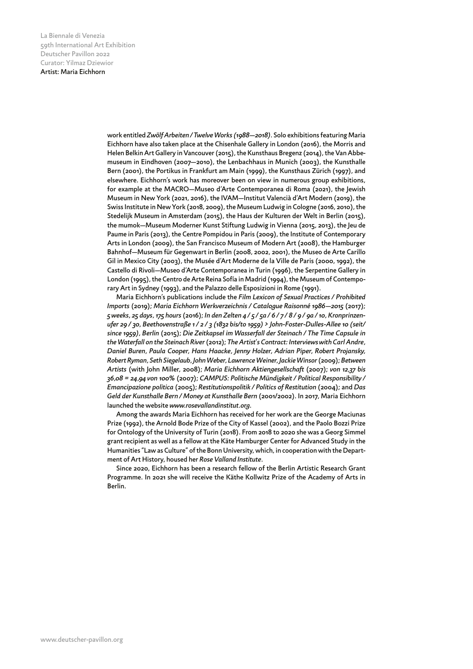work entitled *Zwölf Arbeiten / Twelve Works (1988—2018)*. Solo exhibitions featuring Maria Eichhorn have also taken place at the Chisenhale Gallery in London (2016), the Morris and Helen Belkin Art Gallery in Vancouver (2015), the Kunsthaus Bregenz (2014), the Van Abbemuseum in Eindhoven (2007—2010), the Lenbachhaus in Munich (2003), the Kunsthalle Bern (2001), the Portikus in Frankfurt am Main (1999), the Kunsthaus Zürich (1997), and elsewhere. Eichhorn's work has moreover been on view in numerous group exhibitions, for example at the MACRO—Museo d'Arte Contemporanea di Roma (2021), the Jewish Museum in New York (2021, 2016), the IVAM—Institut Valencià d'Art Modern (2019), the Swiss Institute in New York (2018, 2009), the Museum Ludwig in Cologne (2016, 2010), the Stedelijk Museum in Amsterdam (2015), the Haus der Kulturen der Welt in Berlin (2015), the mumok—Museum Moderner Kunst Stiftung Ludwig in Vienna (2015, 2013), the Jeu de Paume in Paris (2013), the Centre Pompidou in Paris (2009), the Institute of Contemporary Arts in London (2009), the San Francisco Museum of Modern Art (2008), the Hamburger Bahnhof—Museum für Gegenwart in Berlin (2008, 2002, 2001), the Museo de Arte Carillo Gil in Mexico City (2003), the Musée d'Art Moderne de la Ville de Paris (2000, 1992), the Castello di Rivoli—Museo d'Arte Contemporanea in Turin (1996), the Serpentine Gallery in London (1995), the Centro de Arte Reina Sofía in Madrid (1994), the Museum of Contemporary Art in Sydney (1993), and the Palazzo delle Esposizioni in Rome (1991).

Maria Eichhorn's publications include the *Film Lexicon of Sexual Practices / Prohibited Imports* (2019); *Maria Eichhorn Werkverzeichnis / Catalogue Raisonné 1986—2015* (2017); *5 weeks, 25 days, 175 hours* (2016); *In den Zelten 4 / 5 / 5a / 6 / 7 / 8 / 9 / 9a / 10, Kronprinzenufer 29 / 30, Beethovenstraße 1 / 2 / 3 (1832 bis/to 1959) > John-Foster-Dulles-Allee 10 (seit/ since 1959), Berlin* (2015); *Die Zeitkapsel im Wasserfall der Steinach / The Time Capsule in the Waterfall on the Steinach River* (2012); *The Artist's Contract: Interviews with Carl Andre, Daniel Buren, Paula Cooper, Hans Haacke, Jenny Holzer, Adrian Piper, Robert Projansky, Robert Ryman, Seth Siegelaub, John Weber, Lawrence Weiner, Jackie Winsor* (2009); *Between Artists* (with John Miller, 2008); *Maria Eichhorn Aktiengesellschaft* (2007); *von 12,37 bis 36,08 = 24,94 von 100%* (2007); *CAMPUS: Politische Mündigkeit / Political Responsibility / Emancipazione politica* (2005); *Restitutionspolitik / Politics of Restitution* (2004); and *Das Geld der Kunsthalle Bern / Money at Kunsthalle Bern* (2001/2002). In 2017, Maria Eichhorn launched the website *www.rosevallandinstitut.org*.

Among the awards Maria Eichhorn has received for her work are the George Maciunas Prize (1992), the Arnold Bode Prize of the City of Kassel (2002), and the Paolo Bozzi Prize for Ontology of the University of Turin (2018). From 2018 to 2020 she was a Georg Simmel grant recipient as well as a fellow at the Käte Hamburger Center for Advanced Study in the Humanities "Law as Culture" of the Bonn University, which, in cooperation with the Department of Art History, housed her *Rose Valland Institute*.

Since 2020, Eichhorn has been a research fellow of the Berlin Artistic Research Grant Programme. In 2021 she will receive the Käthe Kollwitz Prize of the Academy of Arts in Berlin.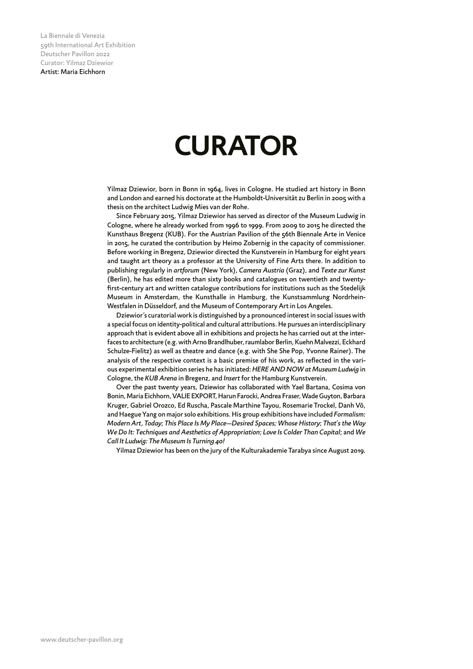# **CURATOR**

Yilmaz Dziewior, born in Bonn in 1964, lives in Cologne. He studied art history in Bonn and London and earned his doctorate at the Humboldt-Universität zu Berlin in 2005 with a thesis on the architect Ludwig Mies van der Rohe.

Since February 2015, Yilmaz Dziewior has served as director of the Museum Ludwig in Cologne, where he already worked from 1996 to 1999. From 2009 to 2015 he directed the Kunsthaus Bregenz (KUB). For the Austrian Pavilion of the 56th Biennale Arte in Venice in 2015, he curated the contribution by Heimo Zobernig in the capacity of commissioner. Before working in Bregenz, Dziewior directed the Kunstverein in Hamburg for eight years and taught art theory as a professor at the University of Fine Arts there. In addition to publishing regularly in *artforum* (New York), *Camera Austria* (Graz), and *Texte zur Kunst* (Berlin), he has edited more than sixty books and catalogues on twentieth and twentyfirst-century art and written catalogue contributions for institutions such as the Stedelijk Museum in Amsterdam, the Kunsthalle in Hamburg, the Kunstsammlung Nordrhein-Westfalen in Düsseldorf, and the Museum of Contemporary Art in Los Angeles.

Dziewior's curatorial work is distinguished by a pronounced interest in social issues with a special focus on identity-political and cultural attributions. He pursues an interdisciplinary approach that is evident above all in exhibitions and projects he has carried out at the interfaces to architecture (e.g. with Arno Brandlhuber, raumlabor Berlin, Kuehn Malvezzi, Eckhard Schulze-Fielitz) as well as theatre and dance (e.g. with She She Pop, Yvonne Rainer). The analysis of the respective context is a basic premise of his work, as reflected in the various experimental exhibition series he has initiated: *HERE AND NOW at Museum Ludwig* in Cologne, the *KUB Arena* in Bregenz, and *Insert* for the Hamburg Kunstverein.

Over the past twenty years, Dziewior has collaborated with Yael Bartana, Cosima von Bonin, Maria Eichhorn, VALIE EXPORT, Harun Farocki, Andrea Fraser, Wade Guyton, Barbara Kruger, Gabriel Orozco, Ed Ruscha, Pascale Marthine Tayou, Rosemarie Trockel, Danh Võ, and Haegue Yang on major solo exhibitions. His group exhibitions have included *Formalism: Modern Art, Today*; *This Place Is My Place—Desired Spaces; Whose History*; *That's the Way We Do It: Techniques and Aesthetics of Appropriation*; *Love Is Colder Than Capital*; and *We Call It Ludwig: The Museum Is Turning 40!*

Yilmaz Dziewior has been on the jury of the Kulturakademie Tarabya since August 2019.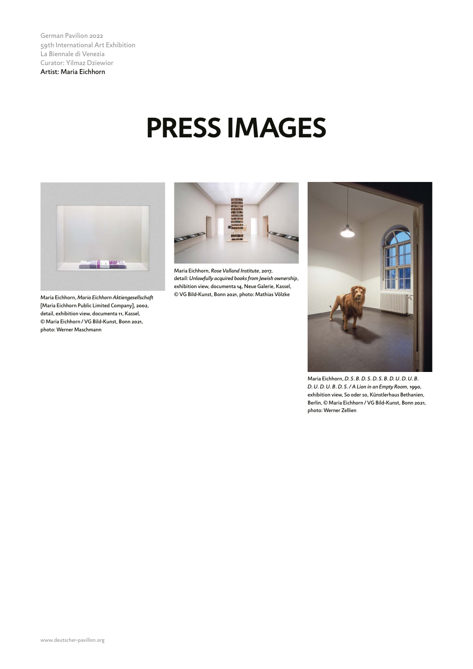German Pavilion 2022 59th International Art Exhibition La Biennale di Venezia Curator: Yilmaz Dziewior Artist: Maria Eichhorn

# **PRESS IMAGES**



Maria Eichhorn, *Maria Eichhorn Aktiengesellschaft* [Maria Eichhorn Public Limited Company], 2002, detail, exhibition view, documenta 11, Kassel, © Maria Eichhorn / VG Bild-Kunst, Bonn 2021, photo: Werner Maschmann



Maria Eichhorn, *Rose Valland Institute*, 2017, detail: *Unlawfully acquired books from Jewish ownership*, exhibition view, documenta 14, Neue Galerie, Kassel, © VG Bild-Kunst, Bonn 2021, photo: Mathias Völzke



Maria Eichhorn, *D. S. B. D. S. D. S. B. D. U. D. U. B. D. U. D. U. B. D. S. / A Lion in an Empty Room*, 1990, exhibition view, So oder so, Künstlerhaus Bethanien, Berlin, © Maria Eichhorn / VG Bild-Kunst, Bonn 2021, photo: Werner Zellien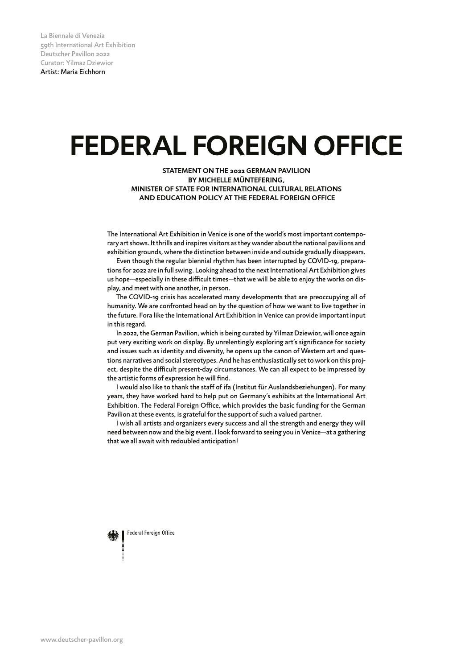# **FEDERAL FOREIGN OFFICE**

**STATEMENT ON THE 2022 GERMAN PAVILION BY MICHELLE MÜNTEFERING, MINISTER OF STATE FOR INTERNATIONAL CULTURAL RELATIONS AND EDUCATION POLICY AT THE FEDERAL FOREIGN OFFICE**

The International Art Exhibition in Venice is one of the world's most important contemporary art shows. It thrills and inspires visitors as they wander about the national pavilions and exhibition grounds, where the distinction between inside and outside gradually disappears.

Even though the regular biennial rhythm has been interrupted by COVID-19, preparations for 2022 are in full swing. Looking ahead to the next International Art Exhibition gives us hope-especially in these difficult times-that we will be able to enjoy the works on display, and meet with one another, in person.

The COVID-19 crisis has accelerated many developments that are preoccupying all of humanity. We are confronted head on by the question of how we want to live together in the future. Fora like the International Art Exhibition in Venice can provide important input in this regard.

In 2022, the German Pavilion, which is being curated by Yilmaz Dziewior, will once again put very exciting work on display. By unrelentingly exploring art's significance for society and issues such as identity and diversity, he opens up the canon of Western art and questions narratives and social stereotypes. And he has enthusiastically set to work on this project, despite the difficult present-day circumstances. We can all expect to be impressed by the artistic forms of expression he will find.

I would also like to thank the staff of ifa (Institut für Auslandsbeziehungen). For many years, they have worked hard to help put on Germany's exhibits at the International Art Exhibition. The Federal Foreign Office, which provides the basic funding for the German Pavilion at these events, is grateful for the support of such a valued partner.

I wish all artists and organizers every success and all the strength and energy they will need between now and the big event. I look forward to seeing you in Venice—at a gathering that we all await with redoubled anticipation!

Federal Foreign Office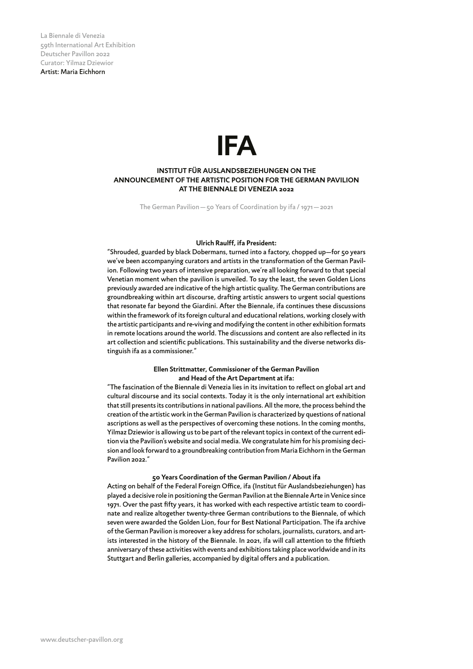### **IFA**

### **INSTITUT FÜR AUSLANDSBEZIEHUNGEN ON THE ANNOUNCEMENT OF THE ARTISTIC POSITION FOR THE GERMAN PAVILION AT THE BIENNALE DI VENEZIA 2022**

The German Pavilion—50 Years of Coordination by ifa / 1971—2021

#### **Ulrich Raulff, ifa President:**

"Shrouded, guarded by black Dobermans, turned into a factory, chopped up—for 50 years we've been accompanying curators and artists in the transformation of the German Pavilion. Following two years of intensive preparation, we're all looking forward to that special Venetian moment when the pavilion is unveiled. To say the least, the seven Golden Lions previously awarded are indicative of the high artistic quality. The German contributions are groundbreaking within art discourse, drafting artistic answers to urgent social questions that resonate far beyond the Giardini. After the Biennale, ifa continues these discussions within the framework of its foreign cultural and educational relations, working closely with the artistic participants and re-viving and modifying the content in other exhibition formats in remote locations around the world. The discussions and content are also reflected in its art collection and scientific publications. This sustainability and the diverse networks distinguish ifa as a commissioner."

### **Ellen Strittmatter, Commissioner of the German Pavilion and Head of the Art Department at ifa:**

"The fascination of the Biennale di Venezia lies in its invitation to reflect on global art and cultural discourse and its social contexts. Today it is the only international art exhibition that still presents its contributions in national pavilions. All the more, the process behind the creation of the artistic work in the German Pavilion is characterized by questions of national ascriptions as well as the perspectives of overcoming these notions. In the coming months, Yilmaz Dziewior is allowing us to be part of the relevant topics in context of the current edition via the Pavilion's website and social media. We congratulate him for his promising decision and look forward to a groundbreaking contribution from Maria Eichhorn in the German Pavilion 2022."

### **50 Years Coordination of the German Pavilion / About ifa**

Acting on behalf of the Federal Foreign Office, ifa (Institut für Auslandsbeziehungen) has played a decisive role in positioning the German Pavilion at the Biennale Arte in Venice since 1971. Over the past fifty years, it has worked with each respective artistic team to coordinate and realize altogether twenty-three German contributions to the Biennale, of which seven were awarded the Golden Lion, four for Best National Participation. The ifa archive of the German Pavilion is moreover a key address for scholars, journalists, curators, and artists interested in the history of the Biennale. In 2021, ifa will call attention to the fiftieth anniversary of these activities with events and exhibitions taking place worldwide and in its Stuttgart and Berlin galleries, accompanied by digital offers and a publication.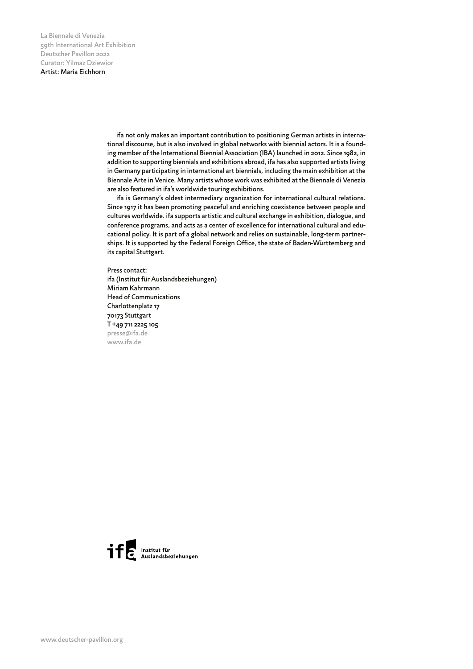> ifa not only makes an important contribution to positioning German artists in international discourse, but is also involved in global networks with biennial actors. It is a founding member of the International Biennial Association (IBA) launched in 2012. Since 1982, in addition to supporting biennials and exhibitions abroad, ifa has also supported artists living in Germany participating in international art biennials, including the main exhibition at the Biennale Arte in Venice. Many artists whose work was exhibited at the Biennale di Venezia are also featured in ifa's worldwide touring exhibitions.

> ifa is Germany's oldest intermediary organization for international cultural relations. Since 1917 it has been promoting peaceful and enriching coexistence between people and cultures worldwide. ifa supports artistic and cultural exchange in exhibition, dialogue, and conference programs, and acts as a center of excellence for international cultural and educational policy. It is part of a global network and relies on sustainable, long-term partnerships. It is supported by the Federal Foreign Office, the state of Baden-Württemberg and its capital Stuttgart.

Press contact: ifa (Institut für Auslandsbeziehungen) Miriam Kahrmann Head of Communications Charlottenplatz 17 70173 Stuttgart T +49 711 2225 105 presse@ifa.de www.ifa.de